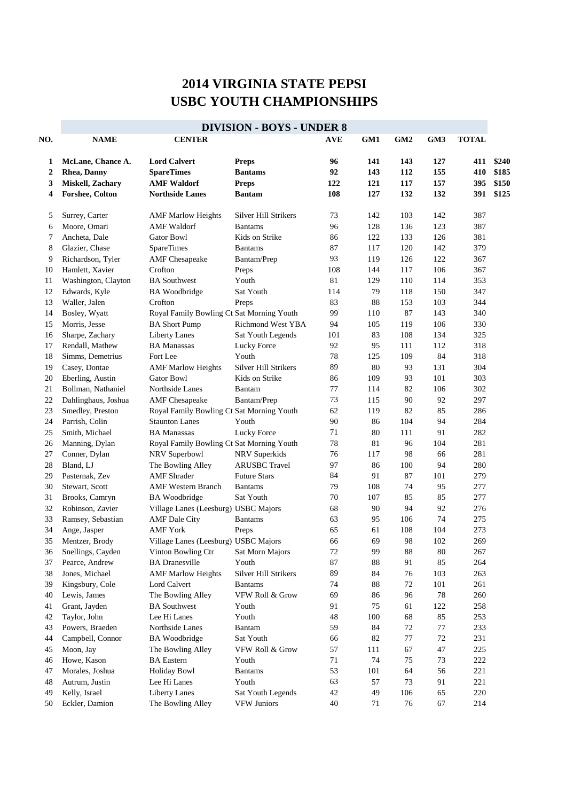## **2014 VIRGINIA STATE PEPSI USBC YOUTH CHAMPIONSHIPS**

|     | <b>DIVISION - BOYS - UNDER 8</b> |                                           |                      |            |     |                 |     |              |       |  |  |
|-----|----------------------------------|-------------------------------------------|----------------------|------------|-----|-----------------|-----|--------------|-------|--|--|
| NO. | <b>NAME</b>                      | <b>CENTER</b>                             |                      | <b>AVE</b> | GM1 | GM <sub>2</sub> | GM3 | <b>TOTAL</b> |       |  |  |
| 1   | McLane, Chance A.                | <b>Lord Calvert</b>                       | <b>Preps</b>         | 96         | 141 | 143             | 127 | 411          | \$240 |  |  |
| 2   | <b>Rhea</b> , Danny              | <b>SpareTimes</b>                         | <b>Bantams</b>       | 92         | 143 | 112             | 155 | 410          | \$185 |  |  |
| 3   | Miskell, Zachary                 | <b>AMF Waldorf</b>                        | <b>Preps</b>         | 122        | 121 | 117             | 157 | 395          | \$150 |  |  |
| 4   | <b>Forshee, Colton</b>           | <b>Northside Lanes</b>                    | <b>Bantam</b>        | 108        | 127 | 132             | 132 | 391          | \$125 |  |  |
| 5   | Surrey, Carter                   | <b>AMF Marlow Heights</b>                 | Silver Hill Strikers | 73         | 142 | 103             | 142 | 387          |       |  |  |
| 6   | Moore, Omari                     | <b>AMF</b> Waldorf                        | <b>Bantams</b>       | 96         | 128 | 136             | 123 | 387          |       |  |  |
| 7   | Ancheta, Dale                    | <b>Gator Bowl</b>                         | Kids on Strike       | 86         | 122 | 133             | 126 | 381          |       |  |  |
| 8   | Glazier, Chase                   | <b>SpareTimes</b>                         | <b>Bantams</b>       | 87         | 117 | 120             | 142 | 379          |       |  |  |
| 9   | Richardson, Tyler                | <b>AMF</b> Chesapeake                     | Bantam/Prep          | 93         | 119 | 126             | 122 | 367          |       |  |  |
| 10  | Hamlett, Xavier                  | Crofton                                   |                      | 108        | 144 | 117             | 106 | 367          |       |  |  |
| 11  |                                  | <b>BA</b> Southwest                       | Preps<br>Youth       | 81         | 129 | 110             | 114 | 353          |       |  |  |
|     | Washington, Clayton              |                                           | Sat Youth            |            | 79  |                 |     | 347          |       |  |  |
| 12  | Edwards, Kyle                    | <b>BA</b> Woodbridge                      |                      | 114        |     | 118             | 150 |              |       |  |  |
| 13  | Waller, Jalen                    | Crofton                                   | Preps                | 83         | 88  | 153             | 103 | 344          |       |  |  |
| 14  | Bosley, Wyatt                    | Royal Family Bowling Ct Sat Morning Youth |                      | 99         | 110 | 87              | 143 | 340          |       |  |  |
| 15  | Morris, Jesse                    | <b>BA</b> Short Pump                      | Richmond West YBA    | 94         | 105 | 119             | 106 | 330          |       |  |  |
| 16  | Sharpe, Zachary                  | <b>Liberty Lanes</b>                      | Sat Youth Legends    | 101        | 83  | 108             | 134 | 325          |       |  |  |
| 17  | Rendall, Mathew                  | <b>BA</b> Manassas                        | Lucky Force          | 92         | 95  | 111             | 112 | 318          |       |  |  |
| 18  | Simms, Demetrius                 | Fort Lee                                  | Youth                | 78         | 125 | 109             | 84  | 318          |       |  |  |
| 19  | Casey, Dontae                    | <b>AMF Marlow Heights</b>                 | Silver Hill Strikers | 89         | 80  | 93              | 131 | 304          |       |  |  |
| 20  | Eberling, Austin                 | <b>Gator Bowl</b>                         | Kids on Strike       | 86         | 109 | 93              | 101 | 303          |       |  |  |
| 21  | Bollman, Nathaniel               | Northside Lanes                           | Bantam               | 77         | 114 | 82              | 106 | 302          |       |  |  |
| 22  | Dahlinghaus, Joshua              | <b>AMF</b> Chesapeake                     | Bantam/Prep          | 73         | 115 | 90              | 92  | 297          |       |  |  |
| 23  | Smedley, Preston                 | Royal Family Bowling Ct Sat Morning Youth |                      | 62         | 119 | 82              | 85  | 286          |       |  |  |
| 24  | Parrish, Colin                   | <b>Staunton Lanes</b>                     | Youth                | 90         | 86  | 104             | 94  | 284          |       |  |  |
| 25  | Smith, Michael                   | <b>BA</b> Manassas                        | Lucky Force          | 71         | 80  | 111             | 91  | 282          |       |  |  |
| 26  | Manning, Dylan                   | Royal Family Bowling Ct Sat Morning Youth |                      | 78         | 81  | 96              | 104 | 281          |       |  |  |
| 27  | Conner, Dylan                    | NRV Superbowl                             | NRV Superkids        | 76         | 117 | 98              | 66  | 281          |       |  |  |
| 28  | Bland, LJ                        | The Bowling Alley                         | <b>ARUSBC</b> Travel | 97         | 86  | 100             | 94  | 280          |       |  |  |
| 29  | Pasternak, Zev                   | <b>AMF</b> Shrader                        | <b>Future Stars</b>  | 84         | 91  | 87              | 101 | 279          |       |  |  |
| 30  | Stewart, Scott                   | <b>AMF Western Branch</b>                 | <b>Bantams</b>       | 79         | 108 | 74              | 95  | 277          |       |  |  |
| 31  | Brooks, Camryn                   | <b>BA</b> Woodbridge                      | Sat Youth            | 70         | 107 | 85              | 85  | 277          |       |  |  |
| 32  | Robinson, Zavier                 | Village Lanes (Leesburg) USBC Majors      |                      | 68         | 90  | 94              | 92  | 276          |       |  |  |
| 33  | Ramsey, Sebastian                | <b>AMF</b> Dale City                      | <b>Bantams</b>       | 63         | 95  | 106             | 74  | 275          |       |  |  |
| 34  | Ange, Jasper                     | <b>AMF</b> York                           | Preps                | 65         | 61  | 108             | 104 | 273          |       |  |  |
| 35  | Mentzer, Brody                   | Village Lanes (Leesburg) USBC Majors      |                      | 66         | 69  | 98              | 102 | 269          |       |  |  |
| 36  | Snellings, Cayden                | Vinton Bowling Ctr                        | Sat Morn Majors      | $72\,$     | 99  | 88              | 80  | 267          |       |  |  |
| 37  | Pearce, Andrew                   | <b>BA</b> Dranesville                     | Youth                | 87         | 88  | 91              | 85  | 264          |       |  |  |
| 38  | Jones, Michael                   | <b>AMF Marlow Heights</b>                 | Silver Hill Strikers | 89         | 84  | 76              | 103 | 263          |       |  |  |
| 39  | Kingsbury, Cole                  | Lord Calvert                              | <b>Bantams</b>       | 74         | 88  | 72              | 101 | 261          |       |  |  |
| 40  | Lewis, James                     | The Bowling Alley                         | VFW Roll & Grow      | 69         | 86  | 96              | 78  | 260          |       |  |  |
| 41  | Grant, Jayden                    | <b>BA</b> Southwest                       | Youth                | 91         | 75  | 61              | 122 | 258          |       |  |  |
| 42  | Taylor, John                     | Lee Hi Lanes                              | Youth                | 48         | 100 | 68              | 85  | 253          |       |  |  |
| 43  | Powers, Braeden                  | Northside Lanes                           | Bantam               | 59         | 84  | 72              | 77  | 233          |       |  |  |
| 44  | Campbell, Connor                 | <b>BA</b> Woodbridge                      | Sat Youth            | 66         | 82  | 77              | 72  | 231          |       |  |  |
| 45  | Moon, Jay                        | The Bowling Alley                         | VFW Roll & Grow      | 57         | 111 | 67              | 47  | $225\,$      |       |  |  |
| 46  | Howe, Kason                      | <b>BA</b> Eastern                         | Youth                | 71         | 74  | 75              | 73  | 222          |       |  |  |
| 47  | Morales, Joshua                  | <b>Holiday Bowl</b>                       | <b>Bantams</b>       | 53         | 101 | 64              | 56  | 221          |       |  |  |
| 48  | Autrum, Justin                   | Lee Hi Lanes                              | Youth                | 63         | 57  | 73              | 91  | 221          |       |  |  |
| 49  | Kelly, Israel                    | <b>Liberty Lanes</b>                      | Sat Youth Legends    | 42         | 49  | 106             | 65  | 220          |       |  |  |
| 50  | Eckler, Damion                   | The Bowling Alley                         | <b>VFW Juniors</b>   | 40         | 71  | 76              | 67  | 214          |       |  |  |
|     |                                  |                                           |                      |            |     |                 |     |              |       |  |  |